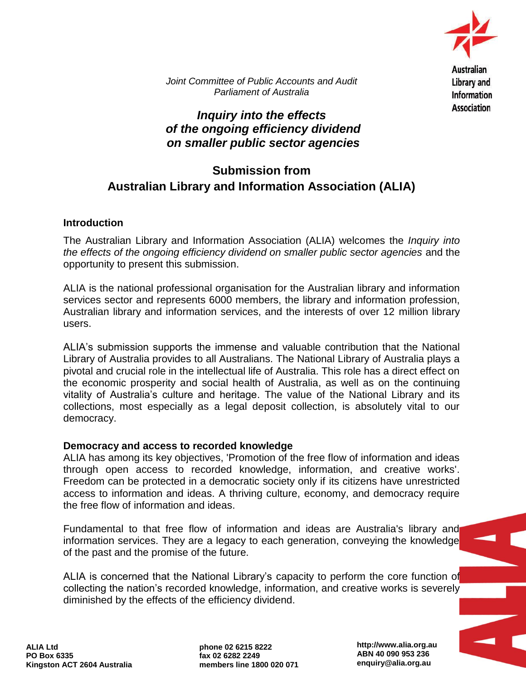

**Library and Information Association** 

*Joint Committee of Public Accounts and Audit Parliament of Australia*

## *Inquiry into the effects of the ongoing efficiency dividend on smaller public sector agencies*

# **Submission from Australian Library and Information Association (ALIA)**

### **Introduction**

The Australian Library and Information Association (ALIA) welcomes the *Inquiry into the effects of the ongoing efficiency dividend on smaller public sector agencies* and the opportunity to present this submission.

ALIA is the national professional organisation for the Australian library and information services sector and represents 6000 members, the library and information profession, Australian library and information services, and the interests of over 12 million library users.

ALIA's submission supports the immense and valuable contribution that the National Library of Australia provides to all Australians. The National Library of Australia plays a pivotal and crucial role in the intellectual life of Australia. This role has a direct effect on the economic prosperity and social health of Australia, as well as on the continuing vitality of Australia's culture and heritage. The value of the National Library and its collections, most especially as a legal deposit collection, is absolutely vital to our democracy.

### **Democracy and access to recorded knowledge**

ALIA has among its key objectives, 'Promotion of the free flow of information and ideas through open access to recorded knowledge, information, and creative works'. Freedom can be protected in a democratic society only if its citizens have unrestricted access to information and ideas. A thriving culture, economy, and democracy require the free flow of information and ideas.

Fundamental to that free flow of information and ideas are Australia's library and information services. They are a legacy to each generation, conveying the knowledge of the past and the promise of the future.

ALIA is concerned that the National Library's capacity to perform the core function of collecting the nation's recorded knowledge, information, and creative works is severely diminished by the effects of the efficiency dividend.

**http://www.alia.org.au ABN 40 090 953 236 enquiry@alia.org.au**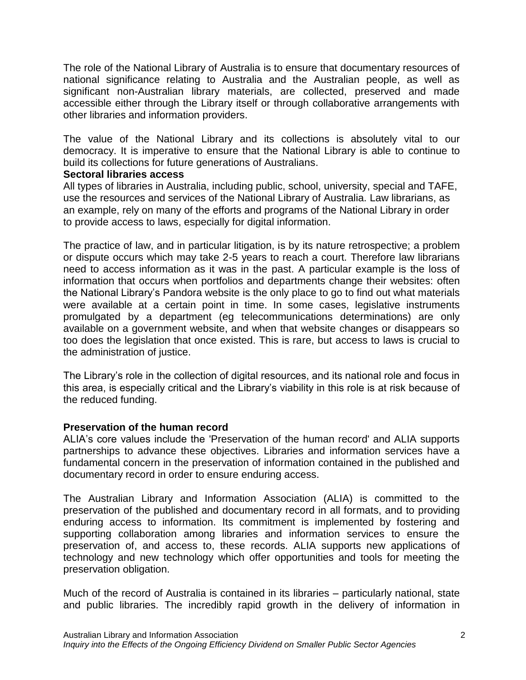The role of the National Library of Australia is to ensure that documentary resources of national significance relating to Australia and the Australian people, as well as significant non-Australian library materials, are collected, preserved and made accessible either through the Library itself or through collaborative arrangements with other libraries and information providers.

The value of the National Library and its collections is absolutely vital to our democracy. It is imperative to ensure that the National Library is able to continue to build its collections for future generations of Australians.

### **Sectoral libraries access**

All types of libraries in Australia, including public, school, university, special and TAFE, use the resources and services of the National Library of Australia. Law librarians, as an example, rely on many of the efforts and programs of the National Library in order to provide access to laws, especially for digital information.

The practice of law, and in particular litigation, is by its nature retrospective; a problem or dispute occurs which may take 2-5 years to reach a court. Therefore law librarians need to access information as it was in the past. A particular example is the loss of information that occurs when portfolios and departments change their websites: often the National Library's Pandora website is the only place to go to find out what materials were available at a certain point in time. In some cases, legislative instruments promulgated by a department (eg telecommunications determinations) are only available on a government website, and when that website changes or disappears so too does the legislation that once existed. This is rare, but access to laws is crucial to the administration of justice.

The Library's role in the collection of digital resources, and its national role and focus in this area, is especially critical and the Library's viability in this role is at risk because of the reduced funding.

## **Preservation of the human record**

ALIA's core values include the 'Preservation of the human record' and ALIA supports partnerships to advance these objectives. Libraries and information services have a fundamental concern in the preservation of information contained in the published and documentary record in order to ensure enduring access.

The Australian Library and Information Association (ALIA) is committed to the preservation of the published and documentary record in all formats, and to providing enduring access to information. Its commitment is implemented by fostering and supporting collaboration among libraries and information services to ensure the preservation of, and access to, these records. ALIA supports new applications of technology and new technology which offer opportunities and tools for meeting the preservation obligation.

Much of the record of Australia is contained in its libraries – particularly national, state and public libraries. The incredibly rapid growth in the delivery of information in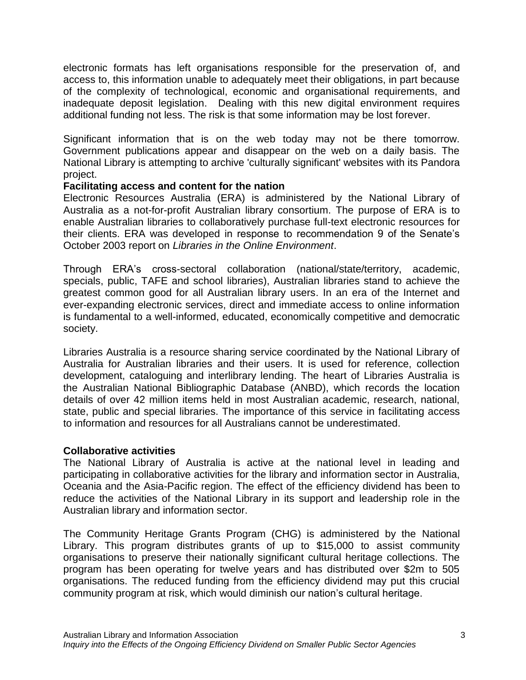electronic formats has left organisations responsible for the preservation of, and access to, this information unable to adequately meet their obligations, in part because of the complexity of technological, economic and organisational requirements, and inadequate deposit legislation. Dealing with this new digital environment requires additional funding not less. The risk is that some information may be lost forever.

Significant information that is on the web today may not be there tomorrow. Government publications appear and disappear on the web on a daily basis. The National Library is attempting to archive 'culturally significant' websites with its Pandora project.

### **Facilitating access and content for the nation**

Electronic Resources Australia (ERA) is administered by the National Library of Australia as a not-for-profit Australian library consortium. The purpose of ERA is to enable Australian libraries to collaboratively purchase full-text electronic resources for their clients. ERA was developed in response to recommendation 9 of the Senate's October 2003 report on *Libraries in the Online Environment*.

Through ERA's cross-sectoral collaboration (national/state/territory, academic, specials, public, TAFE and school libraries), Australian libraries stand to achieve the greatest common good for all Australian library users. In an era of the Internet and ever-expanding electronic services, direct and immediate access to online information is fundamental to a well-informed, educated, economically competitive and democratic society.

Libraries Australia is a resource sharing service coordinated by the National Library of Australia for Australian libraries and their users. It is used for reference, collection development, cataloguing and interlibrary lending. The heart of Libraries Australia is the Australian National Bibliographic Database (ANBD), which records the location details of over 42 million items held in most Australian academic, research, national, state, public and special libraries. The importance of this service in facilitating access to information and resources for all Australians cannot be underestimated.

#### **Collaborative activities**

The National Library of Australia is active at the national level in leading and participating in collaborative activities for the library and information sector in Australia, Oceania and the Asia-Pacific region. The effect of the efficiency dividend has been to reduce the activities of the National Library in its support and leadership role in the Australian library and information sector.

The Community Heritage Grants Program (CHG) is administered by the National Library. This program distributes grants of up to \$15,000 to assist community organisations to preserve their nationally significant cultural heritage collections. The program has been operating for twelve years and has distributed over \$2m to 505 organisations. The reduced funding from the efficiency dividend may put this crucial community program at risk, which would diminish our nation's cultural heritage.